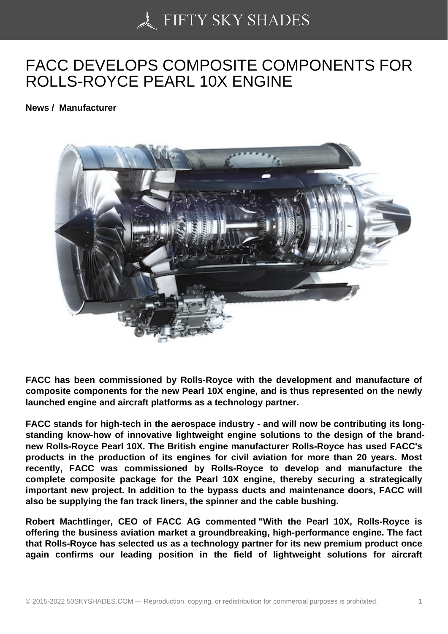## [FACC DEVELOPS CO](https://50skyshades.com)MPOSITE COMPONENTS FOR ROLLS-ROYCE PEARL 10X ENGINE

News / Manufacturer

FACC has been commissioned by Rolls-Royce with the development and manufacture of composite components for the new Pearl 10X engine, and is thus represented on the newly launched engine and aircraft platforms as a technology partner.

FACC stands for high-tech in the aerospace industry - and will now be contributing its longstanding know-how of innovative lightweight engine solutions to the design of the brandnew Rolls-Royce Pearl 10X. The British engine manufacturer Rolls-Royce has used FACC's products in the production of its engines for civil aviation for more than 20 years. Most recently, FACC was commissioned by Rolls-Royce to develop and manufacture the complete composite package for the Pearl 10X engine, thereby securing a strategically important new project. In addition to the bypass ducts and maintenance doors, FACC will also be supplying the fan track liners, the spinner and the cable bushing.

Robert Machtlinger, CEO of FACC AG commented "With the Pearl 10X, Rolls-Royce is offering the business aviation market a groundbreaking, high-performance engine. The fact that Rolls-Royce has selected us as a technology partner for its new premium product once again confirms our leading position in the field of lightweight solutions for aircraft